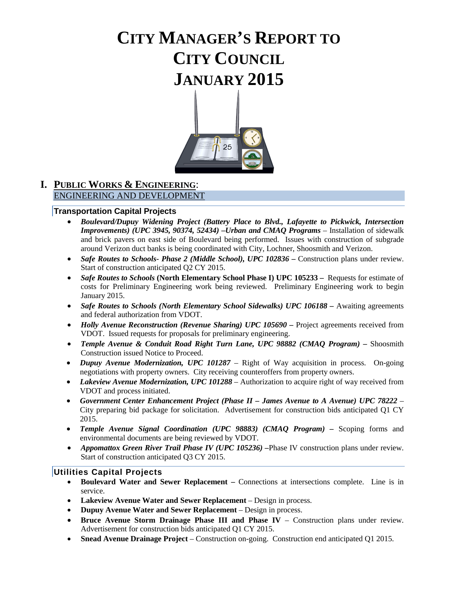# **CITY MANAGER'S REPORT TO CITY COUNCIL JANUARY 2015**



### **I. PUBLIC WORKS & ENGINEERING**: ENGINEERING AND DEVELOPMENT

### **Transportation Capital Projects**

- *Boulevard/Dupuy Widening Project (Battery Place to Blvd., Lafayette to Pickwick, Intersection Improvements) (UPC 3945, 90374, 52434) –Urban and CMAQ Programs* – Installation of sidewalk and brick pavers on east side of Boulevard being performed. Issues with construction of subgrade around Verizon duct banks is being coordinated with City, Lochner, Shoosmith and Verizon.
- *Safe Routes to Schools- Phase 2 (Middle School), UPC 102836 Construction plans under review.* Start of construction anticipated Q2 CY 2015.
- *Safe Routes to Schools* (North Elementary School Phase I) UPC 105233 Requests for estimate of costs for Preliminary Engineering work being reviewed. Preliminary Engineering work to begin January 2015.
- *Safe Routes to Schools (North Elementary School Sidewalks) UPC 106188 Awaiting agreements* and federal authorization from VDOT.
- *Holly Avenue Reconstruction (Revenue Sharing) UPC 105690 –* Project agreements received from VDOT. Issued requests for proposals for preliminary engineering.
- *Temple Avenue & Conduit Road Right Turn Lane, UPC 98882 (CMAQ Program) –* Shoosmith Construction issued Notice to Proceed.
- *Dupuy Avenue Modernization, UPC 101287* Right of Way acquisition in process. On-going negotiations with property owners. City receiving counteroffers from property owners.
- *Lakeview Avenue Modernization, UPC 101288* Authorization to acquire right of way received from VDOT and process initiated.
- *Government Center Enhancement Project (Phase II – James Avenue to A Avenue) UPC 78222 –* City preparing bid package for solicitation. Advertisement for construction bids anticipated Q1 CY 2015.
- *Temple Avenue Signal Coordination (UPC 98883) (CMAQ Program) –* Scoping forms and environmental documents are being reviewed by VDOT.
- *Appomattox Green River Trail Phase IV (UPC 105236)* Phase IV construction plans under review. Start of construction anticipated Q3 CY 2015.

### **Utilities Capital Projects**

- **Boulevard Water and Sewer Replacement –** Connections at intersections complete. Line is in service.
- **Lakeview Avenue Water and Sewer Replacement**  Design in process.
- **Dupuy Avenue Water and Sewer Replacement**  Design in process.
- **Bruce Avenue Storm Drainage Phase III and Phase IV Construction plans under review.** Advertisement for construction bids anticipated Q1 CY 2015.
- **Snead Avenue Drainage Project** Construction on-going. Construction end anticipated Q1 2015.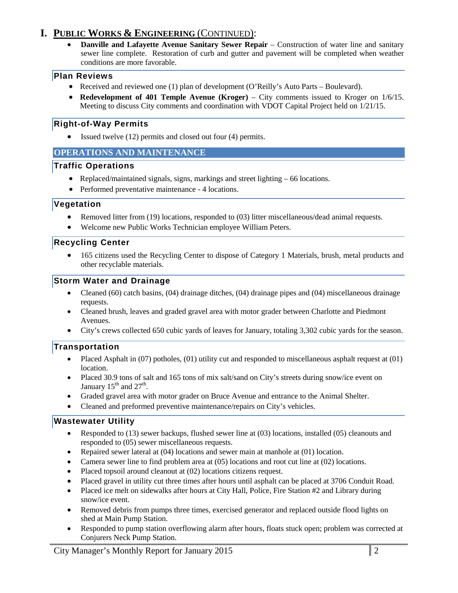# **I. PUBLIC WORKS & ENGINEERING** (CONTINUED):

• **Danville and Lafayette Avenue Sanitary Sewer Repair** – Construction of water line and sanitary sewer line complete. Restoration of curb and gutter and pavement will be completed when weather conditions are more favorable.

### **Plan Reviews**

- Received and reviewed one (1) plan of development (O'Reilly's Auto Parts Boulevard).
- **Redevelopment of 401 Temple Avenue (Kroger)** City comments issued to Kroger on 1/6/15. Meeting to discuss City comments and coordination with VDOT Capital Project held on 1/21/15.

### **Right-of-Way Permits**

• Issued twelve (12) permits and closed out four (4) permits.

### **OPERATIONS AND MAINTENANCE**

### **Traffic Operations**

- Replaced/maintained signals, signs, markings and street lighting 66 locations.
- Performed preventative maintenance 4 locations.

### **Vegetation**

- Removed litter from (19) locations, responded to (03) litter miscellaneous/dead animal requests.
- Welcome new Public Works Technician employee William Peters.

### **Recycling Center**

• 165 citizens used the Recycling Center to dispose of Category 1 Materials, brush, metal products and other recyclable materials.

### **Storm Water and Drainage**

- Cleaned (60) catch basins, (04) drainage ditches, (04) drainage pipes and (04) miscellaneous drainage requests.
- Cleaned brush, leaves and graded gravel area with motor grader between Charlotte and Piedmont Avenues.
- City's crews collected 650 cubic yards of leaves for January, totaling 3,302 cubic yards for the season.

### **Transportation**

- Placed Asphalt in (07) potholes, (01) utility cut and responded to miscellaneous asphalt request at (01) location.
- Placed 30.9 tons of salt and 165 tons of mix salt/sand on City's streets during snow/ice event on January  $15<sup>th</sup>$  and  $27<sup>th</sup>$ .
- Graded gravel area with motor grader on Bruce Avenue and entrance to the Animal Shelter.
- Cleaned and preformed preventive maintenance/repairs on City's vehicles.

### **Wastewater Utility**

- Responded to (13) sewer backups, flushed sewer line at (03) locations, installed (05) cleanouts and responded to (05) sewer miscellaneous requests.
- Repaired sewer lateral at (04) locations and sewer main at manhole at (01) location.
- Camera sewer line to find problem area at (05) locations and root cut line at (02) locations.
- Placed topsoil around cleanout at  $(02)$  locations citizens request.
- Placed gravel in utility cut three times after hours until asphalt can be placed at 3706 Conduit Road.
- Placed ice melt on sidewalks after hours at City Hall, Police, Fire Station #2 and Library during snow/ice event.
- Removed debris from pumps three times, exercised generator and replaced outside flood lights on shed at Main Pump Station.
- Responded to pump station overflowing alarm after hours, floats stuck open; problem was corrected at Conjurers Neck Pump Station.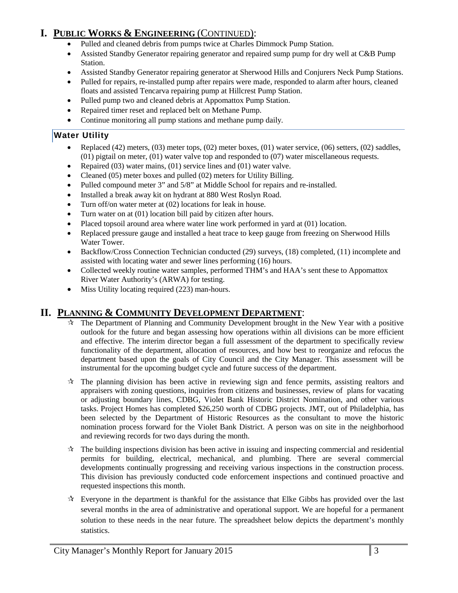# **I. PUBLIC WORKS & ENGINEERING** (CONTINUED):

- Pulled and cleaned debris from pumps twice at Charles Dimmock Pump Station.
- Assisted Standby Generator repairing generator and repaired sump pump for dry well at C&B Pump Station.
- Assisted Standby Generator repairing generator at Sherwood Hills and Conjurers Neck Pump Stations.
- Pulled for repairs, re-installed pump after repairs were made, responded to alarm after hours, cleaned floats and assisted Tencarva repairing pump at Hillcrest Pump Station.
- Pulled pump two and cleaned debris at Appomattox Pump Station.
- Repaired timer reset and replaced belt on Methane Pump.
- Continue monitoring all pump stations and methane pump daily*.*

### **Water Utility**

- Replaced (42) meters, (03) meter tops, (02) meter boxes, (01) water service, (06) setters, (02) saddles, (01) pigtail on meter, (01) water valve top and responded to (07) water miscellaneous requests.
- Repaired (03) water mains, (01) service lines and (01) water valve.
- Cleaned (05) meter boxes and pulled (02) meters for Utility Billing.
- Pulled compound meter 3" and 5/8" at Middle School for repairs and re-installed.
- Installed a break away kit on hydrant at 880 West Roslyn Road.
- Turn off/on water meter at (02) locations for leak in house.
- Turn water on at (01) location bill paid by citizen after hours.
- Placed topsoil around area where water line work performed in yard at (01) location.
- Replaced pressure gauge and installed a heat trace to keep gauge from freezing on Sherwood Hills Water Tower.
- Backflow/Cross Connection Technician conducted (29) surveys, (18) completed, (11) incomplete and assisted with locating water and sewer lines performing (16) hours.
- Collected weekly routine water samples, performed THM's and HAA's sent these to Appomattox River Water Authority's (ARWA) for testing.
- Miss Utility locating required (223) man-hours.

### **II. PLANNING & COMMUNITY DEVELOPMENT DEPARTMENT**:

- $\hat{\tau}$  The Department of Planning and Community Development brought in the New Year with a positive outlook for the future and began assessing how operations within all divisions can be more efficient and effective. The interim director began a full assessment of the department to specifically review functionality of the department, allocation of resources, and how best to reorganize and refocus the department based upon the goals of City Council and the City Manager. This assessment will be instrumental for the upcoming budget cycle and future success of the department.
- $\hat{\mathbf{x}}$  The planning division has been active in reviewing sign and fence permits, assisting realtors and appraisers with zoning questions, inquiries from citizens and businesses, review of plans for vacating or adjusting boundary lines, CDBG, Violet Bank Historic District Nomination, and other various tasks. Project Homes has completed \$26,250 worth of CDBG projects. JMT, out of Philadelphia, has been selected by the Department of Historic Resources as the consultant to move the historic nomination process forward for the Violet Bank District. A person was on site in the neighborhood and reviewing records for two days during the month.
- $\mathcal{R}$  The building inspections division has been active in issuing and inspecting commercial and residential permits for building, electrical, mechanical, and plumbing. There are several commercial developments continually progressing and receiving various inspections in the construction process. This division has previously conducted code enforcement inspections and continued proactive and requested inspections this month.
- $\mathcal{R}$  Everyone in the department is thankful for the assistance that Elke Gibbs has provided over the last several months in the area of administrative and operational support. We are hopeful for a permanent solution to these needs in the near future. The spreadsheet below depicts the department's monthly statistics.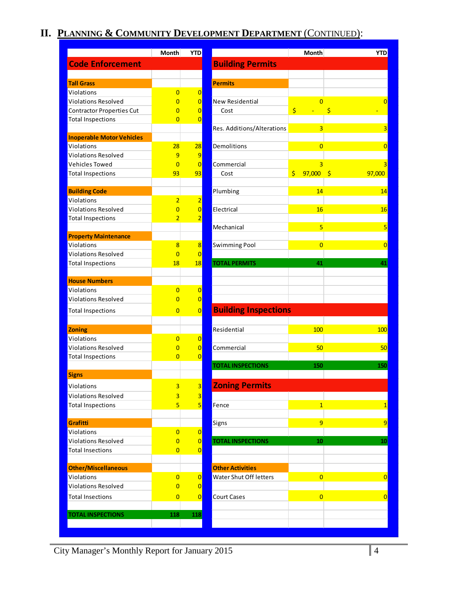# **II. PLANNING & COMMUNITY DEVELOPMENT DEPARTMENT** (CONTINUED):

|                                  | <b>Month</b>   | <b>YTD</b>               |                             | <b>Month</b>      | <b>YTD</b>     |
|----------------------------------|----------------|--------------------------|-----------------------------|-------------------|----------------|
| <b>Code Enforcement</b>          |                |                          | <b>Building Permits</b>     |                   |                |
|                                  |                |                          |                             |                   |                |
| <b>Tall Grass</b>                |                |                          | <b>Permits</b>              |                   |                |
| Violations                       | $\overline{0}$ | 0                        |                             |                   |                |
| <b>Violations Resolved</b>       | $\overline{0}$ | 0                        | <b>New Residential</b>      | $\overline{0}$    | 0              |
| <b>Contractor Properties Cut</b> | $\overline{0}$ | 0                        | Cost                        | \$                | \$             |
| <b>Total Inspections</b>         | $\overline{0}$ | $\overline{0}$           |                             |                   |                |
|                                  |                |                          | Res. Additions/Alterations  | 3                 | 3              |
| <b>Inoperable Motor Vehicles</b> |                |                          |                             |                   |                |
| Violations                       | 28             | 28                       | Demolitions                 | $\overline{0}$    | $\overline{0}$ |
| <b>Violations Resolved</b>       | 9              | 9                        |                             |                   |                |
| <b>Vehicles Towed</b>            | $\overline{0}$ | $\overline{0}$           | Commercial                  | $\overline{3}$    | 3              |
| <b>Total Inspections</b>         | 93             | 93                       | Cost                        | \$<br>$97,000$ \$ | 97,000         |
|                                  |                |                          |                             |                   |                |
| <b>Building Code</b>             |                |                          | Plumbing                    | 14                | 14             |
| Violations                       | $\overline{2}$ | $\overline{2}$           |                             |                   |                |
| <b>Violations Resolved</b>       | $\overline{0}$ | $\overline{0}$           | Electrical                  | 16                | 16             |
| <b>Total Inspections</b>         | $\overline{2}$ | $\overline{2}$           |                             |                   |                |
|                                  |                |                          | Mechanical                  | 5                 | 5              |
| <b>Property Maintenance</b>      |                |                          |                             |                   |                |
| Violations                       | $\overline{8}$ | $\mathbf{8}$             | <b>Swimming Pool</b>        | $\overline{0}$    | $\overline{0}$ |
| <b>Violations Resolved</b>       | $\overline{0}$ | 0                        |                             |                   |                |
| <b>Total Inspections</b>         | 18             | 18                       | <b>TOTAL PERMITS</b>        | 41                | 41             |
|                                  |                |                          |                             |                   |                |
| <b>House Numbers</b>             |                |                          |                             |                   |                |
| Violations                       | $\overline{0}$ | 0                        |                             |                   |                |
| Violations Resolved              | $\overline{0}$ | $\overline{0}$           |                             |                   |                |
| <b>Total Inspections</b>         | $\overline{0}$ | $\overline{0}$           | <b>Building Inspections</b> |                   |                |
|                                  |                |                          |                             |                   |                |
| <b>Zoning</b>                    |                |                          | Residential                 | 100               | 100            |
| <b>Violations</b>                | $\overline{0}$ | 0                        |                             |                   |                |
| <b>Violations Resolved</b>       | $\overline{0}$ | 0                        | Commercial                  | 50                | 50             |
| <b>Total Inspections</b>         | $\overline{0}$ | $\overline{0}$           |                             |                   |                |
|                                  |                |                          | <b>TOTAL INSPECTIONS</b>    | 150               | 150            |
| <b>Signs</b>                     |                |                          |                             |                   |                |
| Violations                       | 3              | $\overline{\mathbf{3}}$  | <b>Zoning Permits</b>       |                   |                |
| <b>Violations Resolved</b>       | 3              | $\overline{\mathbf{3}}$  |                             |                   |                |
| <b>Total Inspections</b>         | 5              | $\overline{\phantom{a}}$ | Fence                       | $\overline{1}$    | $\mathbf{1}$   |
|                                  |                |                          |                             |                   |                |
| Grafitti                         |                |                          | Signs                       | 9                 | 9              |
| Violations                       | $\overline{0}$ | $\overline{0}$           |                             |                   |                |
| <b>Violations Resolved</b>       | $\overline{0}$ | 0                        | <b>TOTAL INSPECTIONS</b>    | 10                | 10             |
| <b>Total Insections</b>          | $\overline{0}$ | $\overline{0}$           |                             |                   |                |
|                                  |                |                          |                             |                   |                |
| <b>Other/Miscellaneous</b>       |                |                          | <b>Other Activities</b>     |                   |                |
| Violations                       | $\overline{0}$ | $\overline{0}$           | Water Shut Off letters      | $\overline{0}$    | $\overline{0}$ |
| <b>Violations Resolved</b>       | $\overline{0}$ | $\overline{0}$           |                             |                   |                |
| <b>Total Insections</b>          | $\overline{0}$ | 0                        | <b>Court Cases</b>          | $\overline{0}$    | $\overline{0}$ |
|                                  |                |                          |                             |                   |                |
| <b>TOTAL INSPECTIONS</b>         | 118            | 118                      |                             |                   |                |
|                                  |                |                          |                             |                   |                |

City Manager's Monthly Report for January 2015 4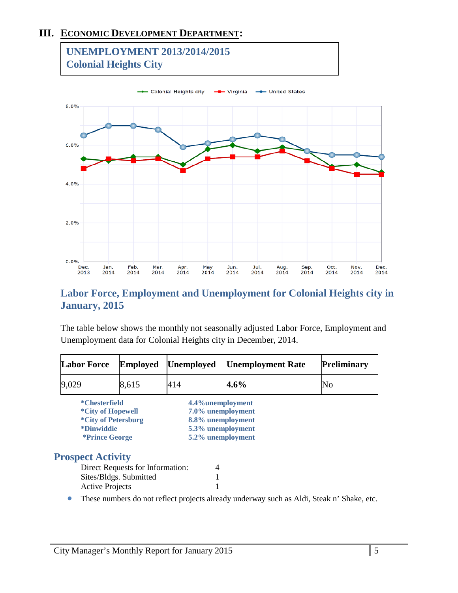# **III. ECONOMIC DEVELOPMENT DEPARTMENT:**



# **Labor Force, Employment and Unemployment for Colonial Heights city in January, 2015**

The table below shows the monthly not seasonally adjusted Labor Force, Employment and Unemployment data for Colonial Heights city in December, 2014.

| <b>Labor Force</b>       | <b>Employed</b>                                           | <b>Unemployed</b> | <b>Unemployment Rate</b> | <b>Preliminary</b> |
|--------------------------|-----------------------------------------------------------|-------------------|--------------------------|--------------------|
| 9,029                    | 8,615                                                     | 414               | $4.6\%$                  | No                 |
| <i>*</i> Chesterfield    |                                                           |                   | 4.4% unemployment        |                    |
|                          | <i>*City of Hopewell</i>                                  |                   | 7.0% unemployment        |                    |
|                          | <i>*City of Petersburg</i>                                |                   | 8.8% unemployment        |                    |
| <i><b>*Dinwiddie</b></i> |                                                           |                   | 5.3% unemployment        |                    |
|                          | <i>*Prince George</i>                                     |                   | 5.2% unemployment        |                    |
| <b>Prospect Activity</b> |                                                           |                   |                          |                    |
|                          | Direct Requests for Information:                          |                   | 4                        |                    |
|                          | $C_{\text{tao}}/D1\lambda_{\infty}$ $C_{\text{uhmittad}}$ |                   |                          |                    |

| Direct Requests for Information: |  |
|----------------------------------|--|
| Sites/Bldgs. Submitted           |  |
| <b>Active Projects</b>           |  |

• These numbers do not reflect projects already underway such as Aldi, Steak n' Shake, etc.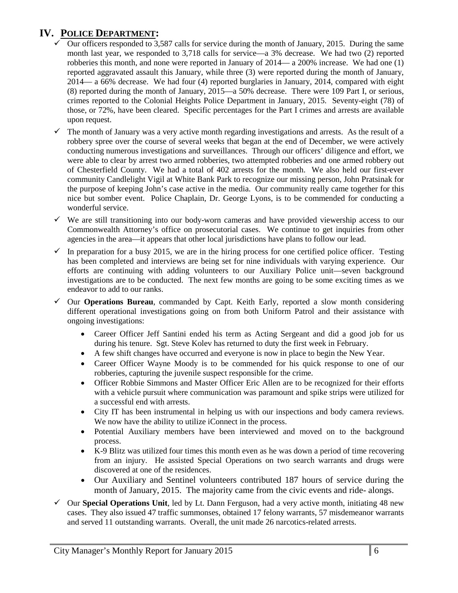# **IV. POLICE DEPARTMENT:**

- Our officers responded to 3,587 calls for service during the month of January, 2015. During the same month last year, we responded to 3,718 calls for service—a 3% decrease. We had two (2) reported robberies this month, and none were reported in January of 2014— a 200% increase. We had one (1) reported aggravated assault this January, while three (3) were reported during the month of January, 2014— a 66% decrease. We had four (4) reported burglaries in January, 2014, compared with eight (8) reported during the month of January, 2015—a 50% decrease. There were 109 Part I, or serious, crimes reported to the Colonial Heights Police Department in January, 2015. Seventy-eight (78) of those, or 72%, have been cleared. Specific percentages for the Part I crimes and arrests are available upon request.
- $\checkmark$  The month of January was a very active month regarding investigations and arrests. As the result of a robbery spree over the course of several weeks that began at the end of December, we were actively conducting numerous investigations and surveillances. Through our officers' diligence and effort, we were able to clear by arrest two armed robberies, two attempted robberies and one armed robbery out of Chesterfield County. We had a total of 402 arrests for the month. We also held our first-ever community Candlelight Vigil at White Bank Park to recognize our missing person, John Pratsinak for the purpose of keeping John's case active in the media. Our community really came together for this nice but somber event. Police Chaplain, Dr. George Lyons, is to be commended for conducting a wonderful service.
- $\checkmark$  We are still transitioning into our body-worn cameras and have provided viewership access to our Commonwealth Attorney's office on prosecutorial cases. We continue to get inquiries from other agencies in the area—it appears that other local jurisdictions have plans to follow our lead.
- $\checkmark$  In preparation for a busy 2015, we are in the hiring process for one certified police officer. Testing has been completed and interviews are being set for nine individuals with varying experience. Our efforts are continuing with adding volunteers to our Auxiliary Police unit—seven background investigations are to be conducted. The next few months are going to be some exciting times as we endeavor to add to our ranks.
- $\checkmark$  Our **Operations Bureau**, commanded by Capt. Keith Early, reported a slow month considering different operational investigations going on from both Uniform Patrol and their assistance with ongoing investigations:
	- Career Officer Jeff Santini ended his term as Acting Sergeant and did a good job for us during his tenure. Sgt. Steve Kolev has returned to duty the first week in February.
	- A few shift changes have occurred and everyone is now in place to begin the New Year.
	- Career Officer Wayne Moody is to be commended for his quick response to one of our robberies, capturing the juvenile suspect responsible for the crime.
	- Officer Robbie Simmons and Master Officer Eric Allen are to be recognized for their efforts with a vehicle pursuit where communication was paramount and spike strips were utilized for a successful end with arrests.
	- City IT has been instrumental in helping us with our inspections and body camera reviews. We now have the ability to utilize iConnect in the process.
	- Potential Auxiliary members have been interviewed and moved on to the background process.
	- K-9 Blitz was utilized four times this month even as he was down a period of time recovering from an injury. He assisted Special Operations on two search warrants and drugs were discovered at one of the residences.
	- Our Auxiliary and Sentinel volunteers contributed 187 hours of service during the month of January, 2015. The majority came from the civic events and ride- alongs.
- $\checkmark$  Our **Special Operations Unit**, led by Lt. Dann Ferguson, had a very active month, initiating 48 new cases. They also issued 47 traffic summonses, obtained 17 felony warrants, 57 misdemeanor warrants and served 11 outstanding warrants. Overall, the unit made 26 narcotics-related arrests.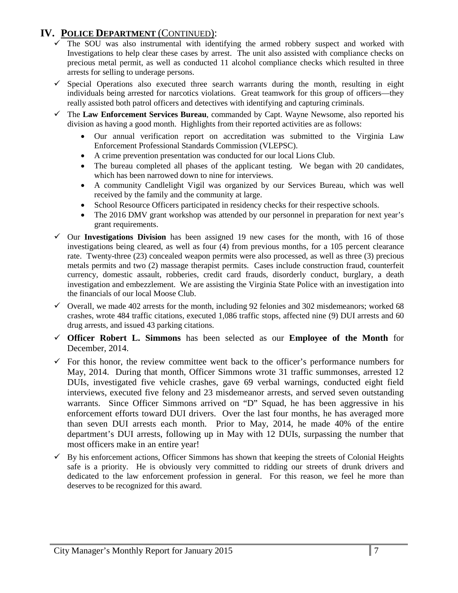# **IV. POLICE DEPARTMENT** (CONTINUED):

- The SOU was also instrumental with identifying the armed robbery suspect and worked with Investigations to help clear these cases by arrest. The unit also assisted with compliance checks on precious metal permit, as well as conducted 11 alcohol compliance checks which resulted in three arrests for selling to underage persons.
- $\checkmark$  Special Operations also executed three search warrants during the month, resulting in eight individuals being arrested for narcotics violations. Great teamwork for this group of officers—they really assisted both patrol officers and detectives with identifying and capturing criminals.
- The **Law Enforcement Services Bureau**, commanded by Capt. Wayne Newsome, also reported his division as having a good month. Highlights from their reported activities are as follows:
	- Our annual verification report on accreditation was submitted to the Virginia Law Enforcement Professional Standards Commission (VLEPSC).
	- A crime prevention presentation was conducted for our local Lions Club.
	- The bureau completed all phases of the applicant testing. We began with 20 candidates, which has been narrowed down to nine for interviews.
	- A community Candlelight Vigil was organized by our Services Bureau, which was well received by the family and the community at large.
	- School Resource Officers participated in residency checks for their respective schools.
	- The 2016 DMV grant workshop was attended by our personnel in preparation for next year's grant requirements.
- $\checkmark$  Our **Investigations Division** has been assigned 19 new cases for the month, with 16 of those investigations being cleared, as well as four (4) from previous months, for a 105 percent clearance rate. Twenty-three (23) concealed weapon permits were also processed, as well as three (3) precious metals permits and two (2) massage therapist permits. Cases include construction fraud, counterfeit currency, domestic assault, robberies, credit card frauds, disorderly conduct, burglary, a death investigation and embezzlement. We are assisting the Virginia State Police with an investigation into the financials of our local Moose Club.
- $\checkmark$  Overall, we made 402 arrests for the month, including 92 felonies and 302 misdemeanors; worked 68 crashes, wrote 484 traffic citations, executed 1,086 traffic stops, affected nine (9) DUI arrests and 60 drug arrests, and issued 43 parking citations.
- **Officer Robert L. Simmons** has been selected as our **Employee of the Month** for December, 2014.
- $\checkmark$  For this honor, the review committee went back to the officer's performance numbers for May, 2014. During that month, Officer Simmons wrote 31 traffic summonses, arrested 12 DUIs, investigated five vehicle crashes, gave 69 verbal warnings, conducted eight field interviews, executed five felony and 23 misdemeanor arrests, and served seven outstanding warrants. Since Officer Simmons arrived on "D" Squad, he has been aggressive in his enforcement efforts toward DUI drivers. Over the last four months, he has averaged more than seven DUI arrests each month. Prior to May, 2014, he made 40% of the entire department's DUI arrests, following up in May with 12 DUIs, surpassing the number that most officers make in an entire year!
- By his enforcement actions, Officer Simmons has shown that keeping the streets of Colonial Heights safe is a priority. He is obviously very committed to ridding our streets of drunk drivers and dedicated to the law enforcement profession in general. For this reason, we feel he more than deserves to be recognized for this award.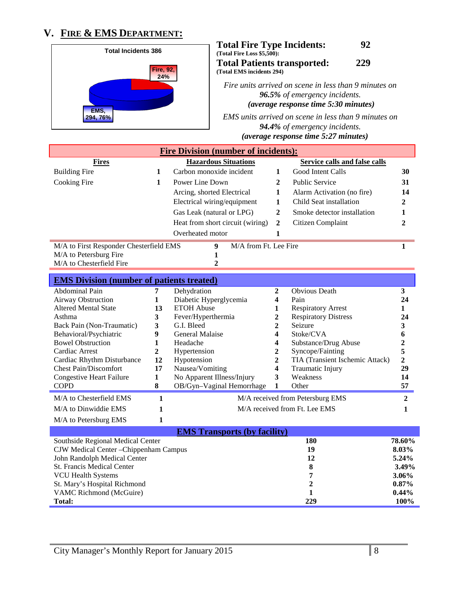# **V. FIRE & EMS DEPARTMENT:**



| <b>Total Fire Type Incidents:</b>  | 92  |
|------------------------------------|-----|
| (Total Fire Loss \$5,500):         |     |
| <b>Total Patients transported:</b> | 229 |
| (Total EMS incidents 294)          |     |

*Fire units arrived on scene in less than 9 minutes on 96.5% of emergency incidents. (average response time 5:30 minutes)* 

*EMS units arrived on scene in less than 9 minutes on 94.4% of emergency incidents. U(average response time 5:27 minutes)*

|                                                  |              | <b>Fire Division (number of incidents):</b> |                              |                                      |                |
|--------------------------------------------------|--------------|---------------------------------------------|------------------------------|--------------------------------------|----------------|
| <b>Fires</b>                                     |              | <b>Hazardous Situations</b>                 |                              | <b>Service calls and false calls</b> |                |
| <b>Building Fire</b>                             | $\mathbf{1}$ | Carbon monoxide incident                    | 1                            | Good Intent Calls                    | 30             |
| Cooking Fire                                     | $\mathbf{1}$ | Power Line Down                             | $\mathbf{2}$                 | <b>Public Service</b>                | 31             |
|                                                  |              | Arcing, shorted Electrical                  | 1                            | Alarm Activation (no fire)           | 14             |
|                                                  |              | Electrical wiring/equipment                 | 1                            | Child Seat installation              | 2              |
|                                                  |              | Gas Leak (natural or LPG)                   | 2                            | Smoke detector installation          | 1              |
|                                                  |              |                                             |                              |                                      |                |
|                                                  |              | Heat from short circuit (wiring)            | 2                            | Citizen Complaint                    | $\mathbf{2}$   |
|                                                  |              | Overheated motor                            | 1                            |                                      |                |
| M/A to First Responder Chesterfield EMS          |              | M/A from Ft. Lee Fire<br>$\boldsymbol{9}$   |                              |                                      | 1              |
| M/A to Petersburg Fire                           |              | 1                                           |                              |                                      |                |
| M/A to Chesterfield Fire                         |              | $\overline{2}$                              |                              |                                      |                |
| <b>EMS Division (number of patients treated)</b> |              |                                             |                              |                                      |                |
| <b>Abdominal Pain</b>                            | 7            | Dehydration                                 |                              | <b>Obvious</b> Death                 | 3              |
| Airway Obstruction                               | 1            | Diabetic Hyperglycemia                      | 2<br>$\overline{\mathbf{4}}$ | Pain                                 | 24             |
| <b>Altered Mental State</b>                      | 13           | <b>ETOH</b> Abuse                           | 1                            | <b>Respiratory Arrest</b>            | $\mathbf{1}$   |
| Asthma                                           | 3            | Fever/Hyperthermia                          | 2                            | <b>Respiratory Distress</b>          | 24             |
| Back Pain (Non-Traumatic)                        | 3            | G.I. Bleed                                  | 2                            | Seizure                              | 3              |
| Behavioral/Psychiatric                           | 9            | General Malaise                             | 4                            | Stoke/CVA                            | 6              |
| <b>Bowel Obstruction</b>                         | $\mathbf{1}$ | Headache                                    | 4                            | Substance/Drug Abuse                 | $\overline{2}$ |
| Cardiac Arrest                                   | $\mathbf{2}$ | Hypertension                                | $\overline{c}$               | Syncope/Fainting                     | 5              |
| Cardiac Rhythm Disturbance                       | 12           | Hypotension                                 | 2                            | TIA (Transient Ischemic Attack)      | $\overline{2}$ |
| <b>Chest Pain/Discomfort</b>                     | 17           | Nausea/Vomiting                             | 4                            | Traumatic Injury                     | 29             |
| <b>Congestive Heart Failure</b>                  | $\mathbf{1}$ | No Apparent Illness/Injury                  | 3                            | Weakness                             | 14             |
| <b>COPD</b>                                      | 8            | OB/Gyn-Vaginal Hemorrhage                   | 1                            | Other                                | 57             |
| M/A to Chesterfield EMS                          | $\mathbf{1}$ |                                             |                              | M/A received from Petersburg EMS     | $\overline{2}$ |
| M/A to Dinwiddie EMS                             | 1            |                                             |                              | M/A received from Ft. Lee EMS        | 1              |
| M/A to Petersburg EMS                            | 1            |                                             |                              |                                      |                |
|                                                  |              | <b>EMS Transports (by facility)</b>         |                              |                                      |                |
| Southside Regional Medical Center                |              |                                             |                              | 180                                  | 78.60%         |
| CJW Medical Center - Chippenham Campus           |              |                                             |                              | 19                                   | 8.03%          |
| John Randolph Medical Center                     |              |                                             |                              | 12                                   | 5.24%          |
| St. Francis Medical Center                       |              | 8<br>3.49%                                  |                              |                                      |                |
| <b>VCU Health Systems</b>                        |              |                                             |                              | 7                                    | 3.06%          |
| St. Mary's Hospital Richmond                     |              |                                             |                              | 2                                    | 0.87%          |
| VAMC Richmond (McGuire)                          |              |                                             |                              | 1                                    | 0.44%          |
| <b>Total:</b>                                    |              |                                             |                              | 229                                  | 100%           |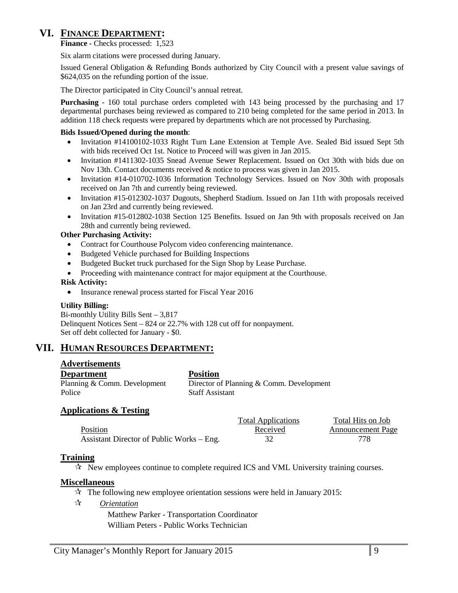# **VI. FINANCE DEPARTMENT:**

**Finance -** Checks processed: 1,523

Six alarm citations were processed during January.

Issued General Obligation & Refunding Bonds authorized by City Council with a present value savings of \$624,035 on the refunding portion of the issue.

The Director participated in City Council's annual retreat.

**Purchasing** - 160 total purchase orders completed with 143 being processed by the purchasing and 17 departmental purchases being reviewed as compared to 210 being completed for the same period in 2013. In addition 118 check requests were prepared by departments which are not processed by Purchasing.

### **Bids Issued/Opened during the month**:

- Invitation #14100102-1033 Right Turn Lane Extension at Temple Ave. Sealed Bid issued Sept 5th with bids received Oct 1st. Notice to Proceed will was given in Jan 2015.
- Invitation #1411302-1035 Snead Avenue Sewer Replacement. Issued on Oct 30th with bids due on Nov 13th. Contact documents received & notice to process was given in Jan 2015.
- Invitation #14-010702-1036 Information Technology Services. Issued on Nov 30th with proposals received on Jan 7th and currently being reviewed.
- Invitation #15-012302-1037 Dugouts, Shepherd Stadium. Issued on Jan 11th with proposals received on Jan 23rd and currently being reviewed.
- Invitation #15-012802-1038 Section 125 Benefits. Issued on Jan 9th with proposals received on Jan 28th and currently being reviewed.

### **Other Purchasing Activity:**

- Contract for Courthouse Polycom video conferencing maintenance.
- Budgeted Vehicle purchased for Building Inspections
- Budgeted Bucket truck purchased for the Sign Shop by Lease Purchase.
- Proceeding with maintenance contract for major equipment at the Courthouse.

### **Risk Activity:**

• Insurance renewal process started for Fiscal Year 2016

### **Utility Billing:**

Bi-monthly Utility Bills Sent – 3,817 Delinquent Notices Sent – 824 or 22.7% with 128 cut off for nonpayment. Set off debt collected for January - \$0.

### **VII. HUMAN RESOURCES DEPARTMENT:**

### **Advertisements**

**Department**<br> **Planning & Comm.** Development Director of

Director of Planning & Comm. Development Police Staff Assistant

### **Applications & Testing**

|                                           | <b>Total Applications</b> | Total Hits on Job        |
|-------------------------------------------|---------------------------|--------------------------|
| Position                                  | Received                  | <b>Announcement Page</b> |
| Assistant Director of Public Works – Eng. |                           |                          |

### **Training**

 $\mathcal{R}$  New employees continue to complete required ICS and VML University training courses.

### **Miscellaneous**

- $\approx$  The following new employee orientation sessions were held in January 2015:
- *Orientation*

Matthew Parker - Transportation Coordinator William Peters - Public Works Technician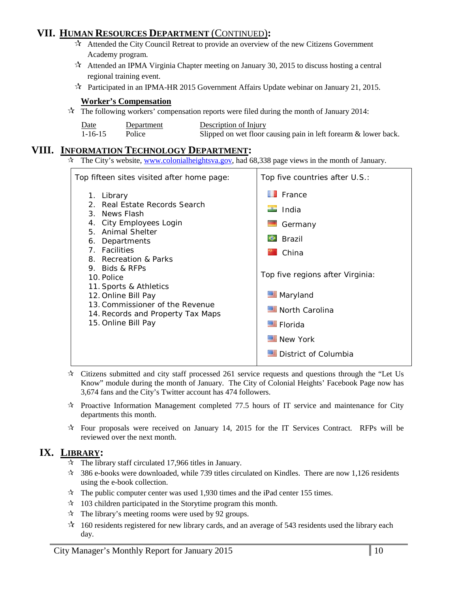# **VII. HUMAN RESOURCES DEPARTMENT** (CONTINUED)**:**

- $\vec{x}$  Attended the City Council Retreat to provide an overview of the new Citizens Government Academy program.
- $\lambda$  Attended an IPMA Virginia Chapter meeting on January 30, 2015 to discuss hosting a central regional training event.
- Participated in an IPMA-HR 2015 Government Affairs Update webinar on January 21, 2015.

### **Worker's Compensation**

 $\mathcal{R}$  The following workers' compensation reports were filed during the month of January 2014:

| Date          | Department | Description of Injury                                           |
|---------------|------------|-----------------------------------------------------------------|
| $1 - 16 - 15$ | Police     | Slipped on wet floor causing pain in left forearm & lower back. |

### **VIII. INFORMATION TECHNOLOGY DEPARTMENT:**

 $\hat{\tau}$  The City's website, [www.colonialheightsva.gov,](http://www.colonialheightsva.gov/) had 68,338 page views in the month of January.

| Top fifteen sites visited after home page:                                                                                                                                                                                                                                                                                                                                | Top five countries after U.S.:                                                                                                                                                                        |
|---------------------------------------------------------------------------------------------------------------------------------------------------------------------------------------------------------------------------------------------------------------------------------------------------------------------------------------------------------------------------|-------------------------------------------------------------------------------------------------------------------------------------------------------------------------------------------------------|
| 1. Library<br>Real Estate Records Search<br>$\mathcal{P}$<br>3. News Flash<br>4. City Employees Login<br>5. Animal Shelter<br>Departments<br>6.<br>7. Facilities<br>8. Recreation & Parks<br>9. Bids & RFPs<br>10. Police<br>11. Sports & Athletics<br>12. Online Bill Pay<br>13. Commissioner of the Revenue<br>14. Records and Property Tax Maps<br>15. Online Bill Pay | $\blacksquare$ France<br>$\blacksquare$ India<br>Germany<br><b>C</b> Brazil<br>China<br>Top five regions after Virginia:<br>Maryland<br>North Carolina<br>Elorida<br>New York<br>District of Columbia |

- $\star$  Citizens submitted and city staff processed 261 service requests and questions through the "Let Us Know" module during the month of January. The City of Colonial Heights' Facebook Page now has 3,674 fans and the City's Twitter account has 474 followers.
- $\star$  Proactive Information Management completed 77.5 hours of IT service and maintenance for City departments this month.
- $\star$  Four proposals were received on January 14, 2015 for the IT Services Contract. RFPs will be reviewed over the next month.

# **IX. LIBRARY:**

- $\approx$  The library staff circulated 17,966 titles in January.
- 386 e-books were downloaded, while 739 titles circulated on Kindles. There are now 1,126 residents using the e-book collection.
- $\approx$  The public computer center was used 1,930 times and the iPad center 155 times.
- $\approx$  103 children participated in the Storytime program this month.
- $\mathcal{R}$  The library's meeting rooms were used by 92 groups.
- $\star$  160 residents registered for new library cards, and an average of 543 residents used the library each day.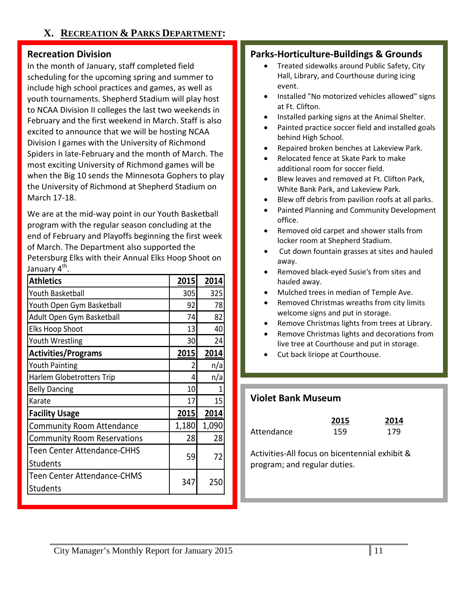# **Recreation Division**

In the month of January, staff completed field scheduling for the upcoming spring and summer to include high school practices and games, as well as youth tournaments. Shepherd Stadium will play host to NCAA Division II colleges the last two weekends in February and the first weekend in March. Staff is also excited to announce that we will be hosting NCAA Division I games with the University of Richmond Spiders in late-February and the month of March. The most exciting University of Richmond games will be when the Big 10 sends the Minnesota Gophers to play the University of Richmond at Shepherd Stadium on March 17-18.

We are at the mid-way point in our Youth Basketball program with the regular season concluding at the end of February and Playoffs beginning the first week of March. The Department also supported the Petersburg Elks with their Annual Elks Hoop Shoot on January 4<sup>th</sup>.

| <b>Athletics</b>                   | 2015  | 2014  |
|------------------------------------|-------|-------|
| Youth Basketball                   | 305   | 325   |
| Youth Open Gym Basketball          | 92    | 78    |
| Adult Open Gym Basketball          | 74    | 82    |
| <b>Elks Hoop Shoot</b>             | 13    | 40    |
| <b>Youth Wrestling</b>             | 30    | 24    |
| <b>Activities/Programs</b>         | 2015  | 2014  |
| <b>Youth Painting</b>              | 2     | n/a   |
| <b>Harlem Globetrotters Trip</b>   | 4     | n/a   |
| <b>Belly Dancing</b>               | 10    | 1     |
| Karate                             | 17    | 15    |
| <b>Facility Usage</b>              | 2015  | 2014  |
| <b>Community Room Attendance</b>   | 1,180 | 1,090 |
| <b>Community Room Reservations</b> | 28    | 28    |
| <b>Teen Center Attendance-CHHS</b> |       |       |
| <b>Students</b>                    | 59    | 72    |
| <b>Teen Center Attendance-CHMS</b> |       |       |
| <b>Students</b>                    | 347   | 250   |

# **Parks-Horticulture-Buildings & Grounds**

- Treated sidewalks around Public Safety, City Hall, Library, and Courthouse during icing event.
- Installed "No motorized vehicles allowed" signs at Ft. Clifton.
- Installed parking signs at the Animal Shelter.
- Painted practice soccer field and installed goals behind High School.
- Repaired broken benches at Lakeview Park.
- Relocated fence at Skate Park to make additional room for soccer field.
- Blew leaves and removed at Ft. Clifton Park, White Bank Park, and Lakeview Park.
- Blew off debris from pavilion roofs at all parks.
- Painted Planning and Community Development office.
- Removed old carpet and shower stalls from locker room at Shepherd Stadium.
- Cut down fountain grasses at sites and hauled away.
- Removed black-eyed Susie's from sites and hauled away.
- Mulched trees in median of Temple Ave.
- Removed Christmas wreaths from city limits welcome signs and put in storage.
- Remove Christmas lights from trees at Library.
- Remove Christmas lights and decorations from live tree at Courthouse and put in storage.
- Cut back liriope at Courthouse.

# **Violet Bank Museum**

|            | 2015 | 2014 |
|------------|------|------|
| Attendance | 159  | 179  |

Activities-All focus on bicentennial exhibit & program; and regular duties.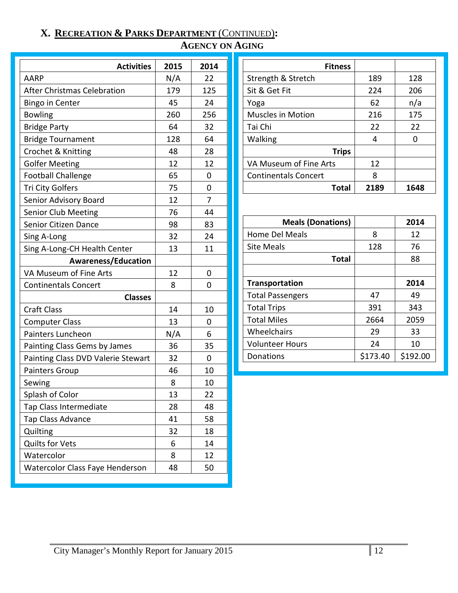# **X. RECREATION & PARKS DEPARTMENT** (CONTINUED)**:**

# **AGENCY ON AGING**

| <b>Activities</b>                  | 2015 | 2014 |
|------------------------------------|------|------|
| <b>AARP</b>                        | N/A  | 22   |
| <b>After Christmas Celebration</b> | 179  | 125  |
| <b>Bingo in Center</b>             | 45   | 24   |
| <b>Bowling</b>                     | 260  | 256  |
| <b>Bridge Party</b>                | 64   | 32   |
| <b>Bridge Tournament</b>           | 128  | 64   |
| Crochet & Knitting                 | 48   | 28   |
| <b>Golfer Meeting</b>              | 12   | 12   |
| <b>Football Challenge</b>          | 65   | 0    |
| <b>Tri City Golfers</b>            | 75   | 0    |
| Senior Advisory Board              | 12   | 7    |
| <b>Senior Club Meeting</b>         | 76   | 44   |
| <b>Senior Citizen Dance</b>        | 98   | 83   |
| Sing A-Long                        | 32   | 24   |
| Sing A-Long-CH Health Center       | 13   | 11   |
| <b>Awareness/Education</b>         |      |      |
| VA Museum of Fine Arts             | 12   | 0    |
| <b>Continentals Concert</b>        | 8    | 0    |
| <b>Classes</b>                     |      |      |
| <b>Craft Class</b>                 | 14   | 10   |
| <b>Computer Class</b>              | 13   | 0    |
| Painters Luncheon                  | N/A  | 6    |
| Painting Class Gems by James       | 36   | 35   |
| Painting Class DVD Valerie Stewart | 32   | 0    |
| <b>Painters Group</b>              | 46   | 10   |
| Sewing                             | 8    | 10   |
| Splash of Color                    | 13   | 22   |
| Tap Class Intermediate             | 28   | 48   |
| Tap Class Advance                  | 41   | 58   |
| Quilting                           | 32   | 18   |
| <b>Quilts for Vets</b>             | 6    | 14   |
| Watercolor                         | 8    | 12   |
| Watercolor Class Faye Henderson    | 48   | 50   |

| <b>Fitness</b>              |      |      |
|-----------------------------|------|------|
| Strength & Stretch          | 189  | 128  |
| Sit & Get Fit               | 224  | 206  |
| Yoga                        | 62   | n/a  |
| <b>Muscles in Motion</b>    | 216  | 175  |
| Tai Chi                     | 22   | 22   |
| Walking                     | 4    |      |
| <b>Trips</b>                |      |      |
| VA Museum of Fine Arts      | 12   |      |
| <b>Continentals Concert</b> | 8    |      |
| Total                       | 2189 | 1648 |

| <b>Meals (Donations)</b> |          | 2014     |
|--------------------------|----------|----------|
| Home Del Meals           | 8        | 12       |
| <b>Site Meals</b>        | 128      | 76       |
| <b>Total</b>             |          | 88       |
|                          |          |          |
| <b>Transportation</b>    |          | 2014     |
| <b>Total Passengers</b>  | 47       | 49       |
| <b>Total Trips</b>       | 391      | 343      |
| <b>Total Miles</b>       | 2664     | 2059     |
| Wheelchairs              | 29       | 33       |
| <b>Volunteer Hours</b>   | 24       | 10       |
| Donations                | \$173.40 | \$192.00 |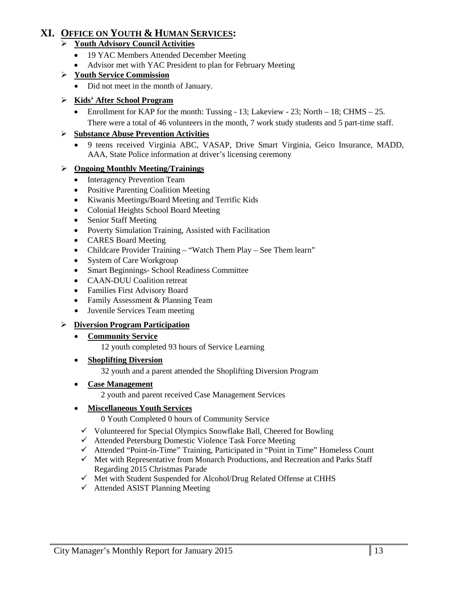# **XI. OFFICE ON YOUTH & HUMAN SERVICES:**

### **Youth Advisory Council Activities**

- 19 YAC Members Attended December Meeting
- Advisor met with YAC President to plan for February Meeting

### **Youth Service Commission**

• Did not meet in the month of January.

### **Kids' After School Program**

• Enrollment for KAP for the month: Tussing - 13; Lakeview - 23; North – 18; CHMS – 25. There were a total of 46 volunteers in the month, 7 work study students and 5 part-time staff.

### **Substance Abuse Prevention Activities**

• 9 teens received Virginia ABC, VASAP, Drive Smart Virginia, Geico Insurance, MADD, AAA, State Police information at driver's licensing ceremony

### **Ongoing Monthly Meeting/Trainings**

- Interagency Prevention Team
- Positive Parenting Coalition Meeting
- Kiwanis Meetings/Board Meeting and Terrific Kids
- Colonial Heights School Board Meeting
- Senior Staff Meeting
- Poverty Simulation Training, Assisted with Facilitation
- CARES Board Meeting
- Childcare Provider Training "Watch Them Play See Them learn"
- System of Care Workgroup
- Smart Beginnings- School Readiness Committee
- CAAN-DUU Coalition retreat
- Families First Advisory Board
- Family Assessment & Planning Team
- Juvenile Services Team meeting

### **Diversion Program Participation**

### • **Community Service**

12 youth completed 93 hours of Service Learning

### • **Shoplifting Diversion**

32 youth and a parent attended the Shoplifting Diversion Program

### • **Case Management**

2 youth and parent received Case Management Services

### • **Miscellaneous Youth Services**

0 Youth Completed 0 hours of Community Service

- $\checkmark$  Volunteered for Special Olympics Snowflake Ball, Cheered for Bowling
- Attended Petersburg Domestic Violence Task Force Meeting
- $\checkmark$  Attended "Point-in-Time" Training, Participated in "Point in Time" Homeless Count
- $\checkmark$  Met with Representative from Monarch Productions, and Recreation and Parks Staff Regarding 2015 Christmas Parade
- $\checkmark$  Met with Student Suspended for Alcohol/Drug Related Offense at CHHS
- $\checkmark$  Attended ASIST Planning Meeting